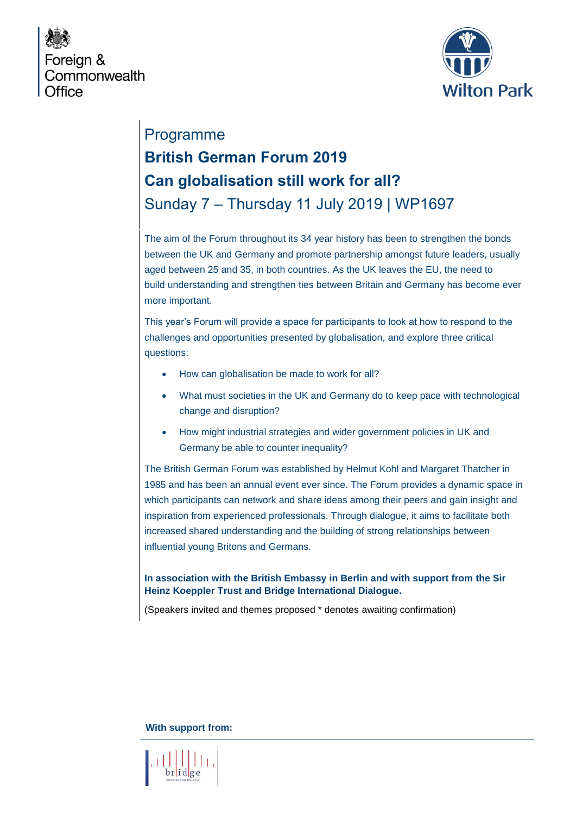



# Programme **British German Forum 2019 Can globalisation still work for all?** Sunday 7 – Thursday 11 July 2019 | WP1697

The aim of the Forum throughout its 34 year history has been to strengthen the bonds between the UK and Germany and promote partnership amongst future leaders, usually aged between 25 and 35, in both countries. As the UK leaves the EU, the need to build understanding and strengthen ties between Britain and Germany has become ever more important.

This year's Forum will provide a space for participants to look at how to respond to the challenges and opportunities presented by globalisation, and explore three critical questions:

- How can globalisation be made to work for all?
- What must societies in the UK and Germany do to keep pace with technological change and disruption?
- How might industrial strategies and wider government policies in UK and Germany be able to counter inequality?

The British German Forum was established by Helmut Kohl and Margaret Thatcher in 1985 and has been an annual event ever since. The Forum provides a dynamic space in which participants can network and share ideas among their peers and gain insight and inspiration from experienced professionals. Through dialogue, it aims to facilitate both increased shared understanding and the building of strong relationships between influential young Britons and Germans.

#### **In association with the British Embassy in Berlin and with support from the Sir Heinz Koeppler Trust and Bridge International Dialogue.**

(Speakers invited and themes proposed \* denotes awaiting confirmation)

**With support from:** 

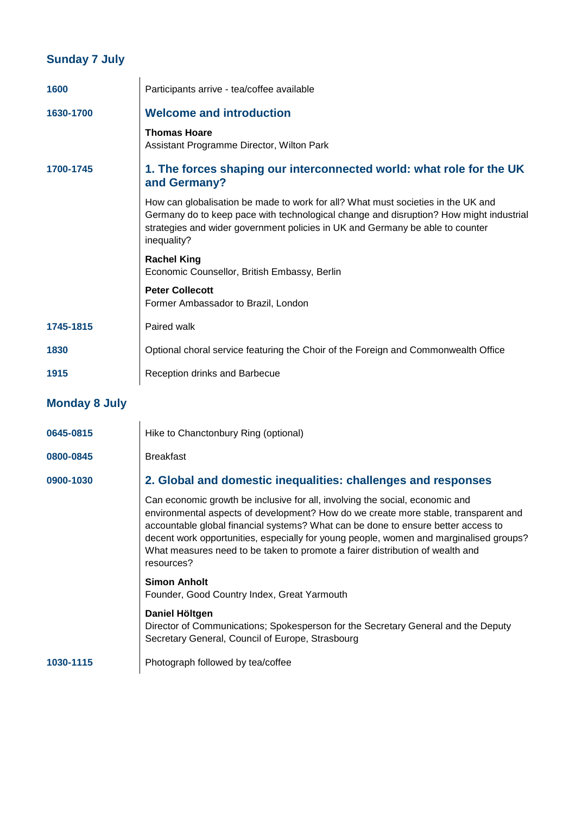### **Sunday 7 July**

| 1600                 | Participants arrive - tea/coffee available                                                                                                                                                                                                                                                                                                                                                                                                        |
|----------------------|---------------------------------------------------------------------------------------------------------------------------------------------------------------------------------------------------------------------------------------------------------------------------------------------------------------------------------------------------------------------------------------------------------------------------------------------------|
| 1630-1700            | <b>Welcome and introduction</b>                                                                                                                                                                                                                                                                                                                                                                                                                   |
|                      | <b>Thomas Hoare</b><br>Assistant Programme Director, Wilton Park                                                                                                                                                                                                                                                                                                                                                                                  |
| 1700-1745            | 1. The forces shaping our interconnected world: what role for the UK<br>and Germany?                                                                                                                                                                                                                                                                                                                                                              |
|                      | How can globalisation be made to work for all? What must societies in the UK and<br>Germany do to keep pace with technological change and disruption? How might industrial<br>strategies and wider government policies in UK and Germany be able to counter<br>inequality?                                                                                                                                                                        |
|                      | <b>Rachel King</b><br>Economic Counsellor, British Embassy, Berlin                                                                                                                                                                                                                                                                                                                                                                                |
|                      | <b>Peter Collecott</b><br>Former Ambassador to Brazil, London                                                                                                                                                                                                                                                                                                                                                                                     |
| 1745-1815            | Paired walk                                                                                                                                                                                                                                                                                                                                                                                                                                       |
| 1830                 | Optional choral service featuring the Choir of the Foreign and Commonwealth Office                                                                                                                                                                                                                                                                                                                                                                |
| 1915                 | Reception drinks and Barbecue                                                                                                                                                                                                                                                                                                                                                                                                                     |
| <b>Monday 8 July</b> |                                                                                                                                                                                                                                                                                                                                                                                                                                                   |
| 0645-0815            | Hike to Chanctonbury Ring (optional)                                                                                                                                                                                                                                                                                                                                                                                                              |
| 0800-0845            | <b>Breakfast</b>                                                                                                                                                                                                                                                                                                                                                                                                                                  |
| 0900-1030            | 2. Global and domestic inequalities: challenges and responses                                                                                                                                                                                                                                                                                                                                                                                     |
|                      | Can economic growth be inclusive for all, involving the social, economic and<br>environmental aspects of development? How do we create more stable, transparent and<br>accountable global financial systems? What can be done to ensure better access to<br>decent work opportunities, especially for young people, women and marginalised groups?<br>What measures need to be taken to promote a fairer distribution of wealth and<br>resources? |
|                      | <b>Simon Anholt</b><br>Founder, Good Country Index, Great Yarmouth                                                                                                                                                                                                                                                                                                                                                                                |
|                      | Daniel Höltgen<br>Director of Communications; Spokesperson for the Secretary General and the Deputy<br>Secretary General, Council of Europe, Strasbourg                                                                                                                                                                                                                                                                                           |
| 1030-1115            | Photograph followed by tea/coffee                                                                                                                                                                                                                                                                                                                                                                                                                 |
|                      |                                                                                                                                                                                                                                                                                                                                                                                                                                                   |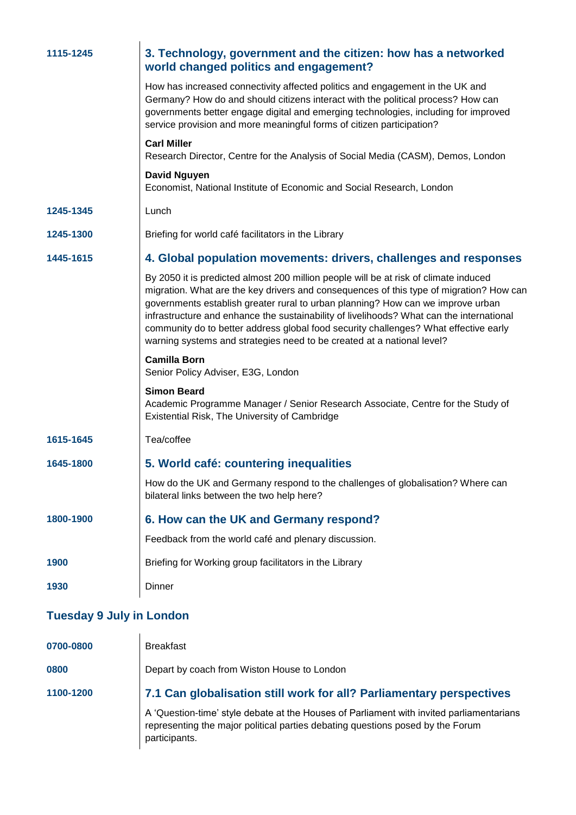| 1115-1245                       | 3. Technology, government and the citizen: how has a networked<br>world changed politics and engagement?                                                                                                                                                                                                                                                                                                                                                                                                                         |
|---------------------------------|----------------------------------------------------------------------------------------------------------------------------------------------------------------------------------------------------------------------------------------------------------------------------------------------------------------------------------------------------------------------------------------------------------------------------------------------------------------------------------------------------------------------------------|
|                                 | How has increased connectivity affected politics and engagement in the UK and<br>Germany? How do and should citizens interact with the political process? How can<br>governments better engage digital and emerging technologies, including for improved<br>service provision and more meaningful forms of citizen participation?                                                                                                                                                                                                |
|                                 | <b>Carl Miller</b><br>Research Director, Centre for the Analysis of Social Media (CASM), Demos, London                                                                                                                                                                                                                                                                                                                                                                                                                           |
|                                 | <b>David Nguyen</b><br>Economist, National Institute of Economic and Social Research, London                                                                                                                                                                                                                                                                                                                                                                                                                                     |
| 1245-1345                       | Lunch                                                                                                                                                                                                                                                                                                                                                                                                                                                                                                                            |
| 1245-1300                       | Briefing for world café facilitators in the Library                                                                                                                                                                                                                                                                                                                                                                                                                                                                              |
| 1445-1615                       | 4. Global population movements: drivers, challenges and responses                                                                                                                                                                                                                                                                                                                                                                                                                                                                |
|                                 | By 2050 it is predicted almost 200 million people will be at risk of climate induced<br>migration. What are the key drivers and consequences of this type of migration? How can<br>governments establish greater rural to urban planning? How can we improve urban<br>infrastructure and enhance the sustainability of livelihoods? What can the international<br>community do to better address global food security challenges? What effective early<br>warning systems and strategies need to be created at a national level? |
|                                 | <b>Camilla Born</b><br>Senior Policy Adviser, E3G, London                                                                                                                                                                                                                                                                                                                                                                                                                                                                        |
|                                 | <b>Simon Beard</b><br>Academic Programme Manager / Senior Research Associate, Centre for the Study of<br>Existential Risk, The University of Cambridge                                                                                                                                                                                                                                                                                                                                                                           |
| 1615-1645                       | Tea/coffee                                                                                                                                                                                                                                                                                                                                                                                                                                                                                                                       |
| 1645-1800                       | 5. World café: countering inequalities                                                                                                                                                                                                                                                                                                                                                                                                                                                                                           |
|                                 | How do the UK and Germany respond to the challenges of globalisation? Where can<br>bilateral links between the two help here?                                                                                                                                                                                                                                                                                                                                                                                                    |
| 1800-1900                       | 6. How can the UK and Germany respond?                                                                                                                                                                                                                                                                                                                                                                                                                                                                                           |
|                                 | Feedback from the world café and plenary discussion.                                                                                                                                                                                                                                                                                                                                                                                                                                                                             |
| 1900                            | Briefing for Working group facilitators in the Library                                                                                                                                                                                                                                                                                                                                                                                                                                                                           |
| 1930                            | Dinner                                                                                                                                                                                                                                                                                                                                                                                                                                                                                                                           |
| <b>Tuesday 9 July in London</b> |                                                                                                                                                                                                                                                                                                                                                                                                                                                                                                                                  |
| 0700-0800                       | <b>Breakfast</b>                                                                                                                                                                                                                                                                                                                                                                                                                                                                                                                 |
| 0800                            | Depart by coach from Wiston House to London                                                                                                                                                                                                                                                                                                                                                                                                                                                                                      |

### **1100-1200 7.1 Can globalisation still work for all? Parliamentary perspectives**

A 'Question-time' style debate at the Houses of Parliament with invited parliamentarians representing the major political parties debating questions posed by the Forum participants.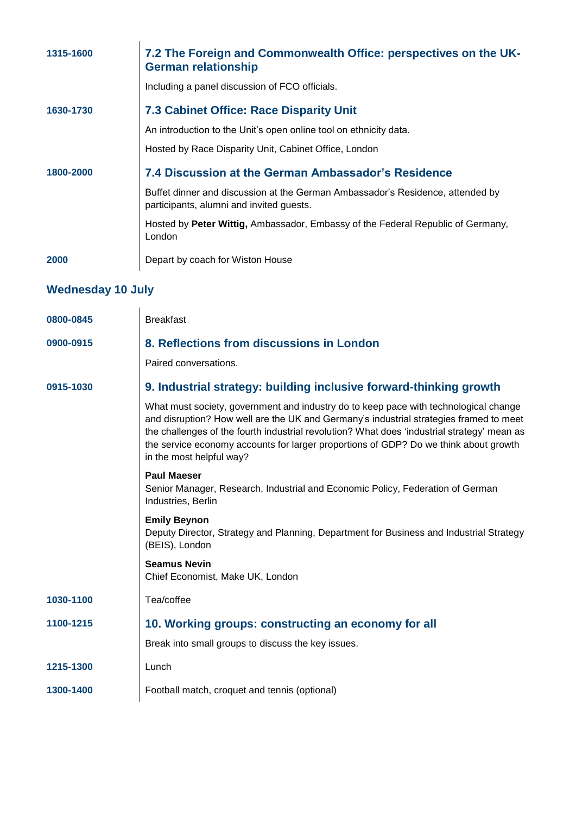| 1315-1600                | 7.2 The Foreign and Commonwealth Office: perspectives on the UK-<br><b>German relationship</b>                                                                                                                                                                                                                                                                                                    |  |
|--------------------------|---------------------------------------------------------------------------------------------------------------------------------------------------------------------------------------------------------------------------------------------------------------------------------------------------------------------------------------------------------------------------------------------------|--|
|                          | Including a panel discussion of FCO officials.                                                                                                                                                                                                                                                                                                                                                    |  |
| 1630-1730                | <b>7.3 Cabinet Office: Race Disparity Unit</b>                                                                                                                                                                                                                                                                                                                                                    |  |
|                          | An introduction to the Unit's open online tool on ethnicity data.                                                                                                                                                                                                                                                                                                                                 |  |
|                          | Hosted by Race Disparity Unit, Cabinet Office, London                                                                                                                                                                                                                                                                                                                                             |  |
| 1800-2000                | 7.4 Discussion at the German Ambassador's Residence                                                                                                                                                                                                                                                                                                                                               |  |
|                          | Buffet dinner and discussion at the German Ambassador's Residence, attended by<br>participants, alumni and invited guests.                                                                                                                                                                                                                                                                        |  |
|                          | Hosted by Peter Wittig, Ambassador, Embassy of the Federal Republic of Germany,<br>London                                                                                                                                                                                                                                                                                                         |  |
| 2000                     | Depart by coach for Wiston House                                                                                                                                                                                                                                                                                                                                                                  |  |
| <b>Wednesday 10 July</b> |                                                                                                                                                                                                                                                                                                                                                                                                   |  |
| 0800-0845                | <b>Breakfast</b>                                                                                                                                                                                                                                                                                                                                                                                  |  |
| 0900-0915                | 8. Reflections from discussions in London                                                                                                                                                                                                                                                                                                                                                         |  |
|                          | Paired conversations.                                                                                                                                                                                                                                                                                                                                                                             |  |
|                          |                                                                                                                                                                                                                                                                                                                                                                                                   |  |
| 0915-1030                | 9. Industrial strategy: building inclusive forward-thinking growth                                                                                                                                                                                                                                                                                                                                |  |
|                          | What must society, government and industry do to keep pace with technological change<br>and disruption? How well are the UK and Germany's industrial strategies framed to meet<br>the challenges of the fourth industrial revolution? What does 'industrial strategy' mean as<br>the service economy accounts for larger proportions of GDP? Do we think about growth<br>in the most helpful way? |  |
|                          | <b>Paul Maeser</b>                                                                                                                                                                                                                                                                                                                                                                                |  |
|                          | Senior Manager, Research, Industrial and Economic Policy, Federation of German<br>Industries, Berlin                                                                                                                                                                                                                                                                                              |  |
|                          | <b>Emily Beynon</b><br>Deputy Director, Strategy and Planning, Department for Business and Industrial Strategy<br>(BEIS), London                                                                                                                                                                                                                                                                  |  |
|                          | <b>Seamus Nevin</b><br>Chief Economist, Make UK, London                                                                                                                                                                                                                                                                                                                                           |  |
| 1030-1100                | Tea/coffee                                                                                                                                                                                                                                                                                                                                                                                        |  |
| 1100-1215                | 10. Working groups: constructing an economy for all                                                                                                                                                                                                                                                                                                                                               |  |
|                          | Break into small groups to discuss the key issues.                                                                                                                                                                                                                                                                                                                                                |  |
| 1215-1300                | Lunch                                                                                                                                                                                                                                                                                                                                                                                             |  |